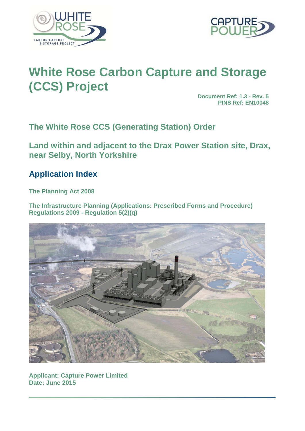



# **White Rose Carbon Capture and Storage (CCS) Project**

**Document Ref: 1.3 - Rev. 5 PINS Ref: EN10048**

**The White Rose CCS (Generating Station) Order**

**Land within and adjacent to the Drax Power Station site, Drax, near Selby, North Yorkshire**

## **Application Index**

**The Planning Act 2008** 

**The Infrastructure Planning (Applications: Prescribed Forms and Procedure) Regulations 2009 - Regulation 5(2)(q)**



**Applicant: Capture Power Limited Date: June 2015**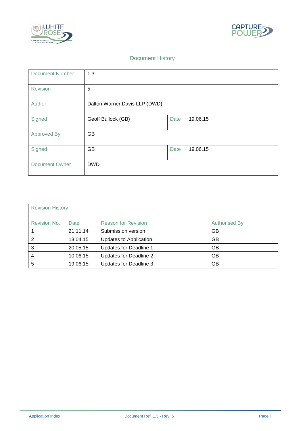



#### Document History

| <b>Document Number</b> | 1.3                           |      |          |
|------------------------|-------------------------------|------|----------|
| Revision               | 5                             |      |          |
| Author                 | Dalton Warner Davis LLP (DWD) |      |          |
| Signed                 | Geoff Bullock (GB)            | Date | 19.06.15 |
| <b>Approved By</b>     | <b>GB</b>                     |      |          |
| Signed                 | GB                            | Date | 19.06.15 |
| <b>Document Owner</b>  | <b>DWD</b>                    |      |          |

| <b>Revision History</b> |          |                            |                      |
|-------------------------|----------|----------------------------|----------------------|
| Revision No.            | Date     | <b>Reason for Revision</b> | <b>Authorised By</b> |
|                         | 21.11.14 | Submission version         | GB                   |
| 2                       | 13.04.15 | Updates to Application     | <b>GB</b>            |
| 3                       | 20.05.15 | Updates for Deadline 1     | GB                   |
| 4                       | 10.06.15 | Updates for Deadline 2     | GB                   |
| 5                       | 19.06.15 | Updates for Deadline 3     | GB                   |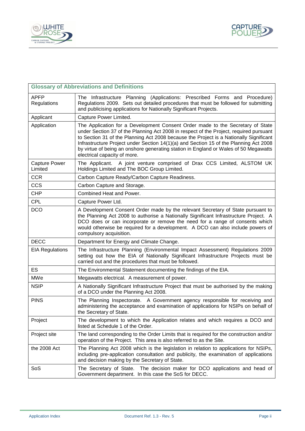



| <b>Glossary of Abbreviations and Definitions</b> |                                                                                                                                                                                                                                                                                                                                                                                                                                                                                     |  |  |
|--------------------------------------------------|-------------------------------------------------------------------------------------------------------------------------------------------------------------------------------------------------------------------------------------------------------------------------------------------------------------------------------------------------------------------------------------------------------------------------------------------------------------------------------------|--|--|
| <b>APFP</b><br>Regulations                       | The Infrastructure Planning (Applications: Prescribed Forms and Procedure)<br>Regulations 2009. Sets out detailed procedures that must be followed for submitting<br>and publicising applications for Nationally Significant Projects.                                                                                                                                                                                                                                              |  |  |
| Applicant                                        | Capture Power Limited.                                                                                                                                                                                                                                                                                                                                                                                                                                                              |  |  |
| Application                                      | The Application for a Development Consent Order made to the Secretary of State<br>under Section 37 of the Planning Act 2008 in respect of the Project, required pursuant<br>to Section 31 of the Planning Act 2008 because the Project is a Nationally Significant<br>Infrastructure Project under Section 14(1)(a) and Section 15 of the Planning Act 2008<br>by virtue of being an onshore generating station in England or Wales of 50 Megawatts<br>electrical capacity of more. |  |  |
| Capture Power<br>Limited                         | The Applicant. A joint venture comprised of Drax CCS Limited, ALSTOM UK<br>Holdings Limited and The BOC Group Limited.                                                                                                                                                                                                                                                                                                                                                              |  |  |
| <b>CCR</b>                                       | Carbon Capture Ready/Carbon Capture Readiness.                                                                                                                                                                                                                                                                                                                                                                                                                                      |  |  |
| <b>CCS</b>                                       | Carbon Capture and Storage.                                                                                                                                                                                                                                                                                                                                                                                                                                                         |  |  |
| <b>CHP</b>                                       | Combined Heat and Power.                                                                                                                                                                                                                                                                                                                                                                                                                                                            |  |  |
| <b>CPL</b>                                       | Capture Power Ltd.                                                                                                                                                                                                                                                                                                                                                                                                                                                                  |  |  |
| <b>DCO</b>                                       | A Development Consent Order made by the relevant Secretary of State pursuant to<br>the Planning Act 2008 to authorise a Nationally Significant Infrastructure Project. A<br>DCO does or can incorporate or remove the need for a range of consents which<br>would otherwise be required for a development. A DCO can also include powers of<br>compulsory acquisition.                                                                                                              |  |  |
| <b>DECC</b>                                      | Department for Energy and Climate Change.                                                                                                                                                                                                                                                                                                                                                                                                                                           |  |  |
| <b>EIA Regulations</b>                           | The Infrastructure Planning (Environmental Impact Assessment) Regulations 2009<br>setting out how the EIA of Nationally Significant Infrastructure Projects must be<br>carried out and the procedures that must be followed.                                                                                                                                                                                                                                                        |  |  |
| <b>ES</b>                                        | The Environmental Statement documenting the findings of the EIA.                                                                                                                                                                                                                                                                                                                                                                                                                    |  |  |
| <b>MWe</b>                                       | Megawatts electrical. A measurement of power.                                                                                                                                                                                                                                                                                                                                                                                                                                       |  |  |
| <b>NSIP</b>                                      | A Nationally Significant Infrastructure Project that must be authorised by the making<br>of a DCO under the Planning Act 2008.                                                                                                                                                                                                                                                                                                                                                      |  |  |
| <b>PINS</b>                                      | The Planning Inspectorate. A Government agency responsible for receiving and<br>administering the acceptance and examination of applications for NSIPs on behalf of<br>the Secretary of State                                                                                                                                                                                                                                                                                       |  |  |
| Project                                          | The development to which the Application relates and which requires a DCO and<br>listed at Schedule 1 of the Order.                                                                                                                                                                                                                                                                                                                                                                 |  |  |
| Project site                                     | The land corresponding to the Order Limits that is required for the construction and/or<br>operation of the Project. This area is also referred to as the Site.                                                                                                                                                                                                                                                                                                                     |  |  |
| the 2008 Act                                     | The Planning Act 2008 which is the legislation in relation to applications for NSIPs,<br>including pre-application consultation and publicity, the examination of applications<br>and decision making by the Secretary of State.                                                                                                                                                                                                                                                    |  |  |
| SoS                                              | The Secretary of State. The decision maker for DCO applications and head of<br>Government department. In this case the SoS for DECC.                                                                                                                                                                                                                                                                                                                                                |  |  |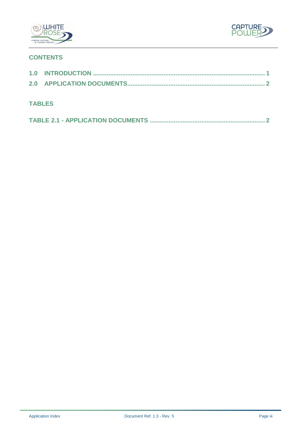



### **CONTENTS**

| <b>TABLES</b> |  |
|---------------|--|
|               |  |
|               |  |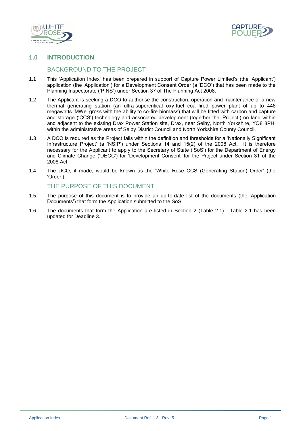



#### <span id="page-4-0"></span>**1.0 INTRODUCTION**

#### BACKGROUND TO THE PROJECT

- 1.1 This 'Application Index' has been prepared in support of Capture Power Limited's (the 'Applicant') application (the 'Application') for a Development Consent Order (a 'DCO') that has been made to the Planning Inspectorate ('PINS') under Section 37 of The Planning Act 2008.
- 1.2 The Applicant is seeking a DCO to authorise the construction, operation and maintenance of a new thermal generating station (an ultra-supercritical oxy-fuel coal-fired power plant of up to 448 megawatts 'MWe' gross with the ability to co-fire biomass) that will be fitted with carbon and capture and storage ('CCS') technology and associated development (together the 'Project') on land within and adjacent to the existing Drax Power Station site, Drax, near Selby, North Yorkshire, YO8 8PH, within the administrative areas of Selby District Council and North Yorkshire County Council.
- 1.3 A DCO is required as the Project falls within the definition and thresholds for a 'Nationally Significant Infrastructure Project' (a 'NSIP') under Sections 14 and 15(2) of the 2008 Act. It is therefore necessary for the Applicant to apply to the Secretary of State ('SoS') for the Department of Energy and Climate Change ('DECC') for 'Development Consent' for the Project under Section 31 of the 2008 Act.
- 1.4 The DCO, if made, would be known as the 'White Rose CCS (Generating Station) Order' (the 'Order').

#### THE PURPOSE OF THIS DOCUMENT

- 1.5 The purpose of this document is to provide an up-to-date list of the documents (the 'Application Documents') that form the Application submitted to the SoS.
- 1.6 The documents that form the Application are listed in Section 2 (Table 2.1). Table 2.1 has been updated for Deadline 3.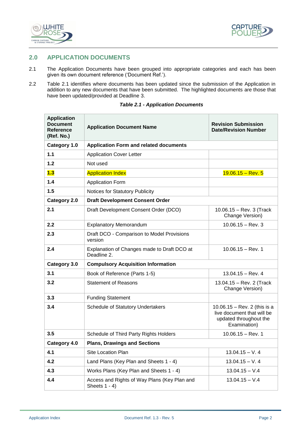



#### <span id="page-5-0"></span>**2.0 APPLICATION DOCUMENTS**

- 2.1 The Application Documents have been grouped into appropriate categories and each has been given its own document reference ('Document Ref.').
- 2.2 Table 2.1 identifies where documents has been updated since the submission of the Application in addition to any new documents that have been submitted. The highlighted documents are those that have been updated/provided at Deadline 3.

<span id="page-5-1"></span>

| <b>Application</b><br><b>Document</b><br>Reference<br>(Ref. No.) | <b>Application Document Name</b>                                 | <b>Revision Submission</b><br><b>Date/Revision Number</b>                                            |  |
|------------------------------------------------------------------|------------------------------------------------------------------|------------------------------------------------------------------------------------------------------|--|
| Category 1.0                                                     | <b>Application Form and related documents</b>                    |                                                                                                      |  |
| $1.1$                                                            | <b>Application Cover Letter</b>                                  |                                                                                                      |  |
| 1.2                                                              | Not used                                                         |                                                                                                      |  |
| 1.3                                                              | <b>Application Index</b>                                         | $19.06.15 - Rev. 5$                                                                                  |  |
| 1.4                                                              | <b>Application Form</b>                                          |                                                                                                      |  |
| 1.5                                                              | Notices for Statutory Publicity                                  |                                                                                                      |  |
| Category 2.0                                                     | <b>Draft Development Consent Order</b>                           |                                                                                                      |  |
| 2.1                                                              | Draft Development Consent Order (DCO)                            | 10.06.15 - Rev. 3 (Track<br>Change Version)                                                          |  |
| 2.2                                                              | <b>Explanatory Memorandum</b>                                    | $10.06.15 - Rev. 3$                                                                                  |  |
| 2.3                                                              | Draft DCO - Comparison to Model Provisions<br>version            |                                                                                                      |  |
| 2.4                                                              | Explanation of Changes made to Draft DCO at<br>Deadline 2.       | $10.06.15 - Rev. 1$                                                                                  |  |
| Category 3.0                                                     | <b>Compulsory Acquisition Information</b>                        |                                                                                                      |  |
| 3.1                                                              | Book of Reference (Parts 1-5)                                    | $13.04.15 - Rev. 4$                                                                                  |  |
| 3.2                                                              | <b>Statement of Reasons</b>                                      | 13.04.15 - Rev. 2 (Track<br>Change Version)                                                          |  |
| 3.3                                                              | <b>Funding Statement</b>                                         |                                                                                                      |  |
| 3.4                                                              | Schedule of Statutory Undertakers                                | 10.06.15 - Rev. 2 (this is a<br>live document that will be<br>updated throughout the<br>Examination) |  |
| 3.5                                                              | Schedule of Third Party Rights Holders                           | $10.06.15 - Rev. 1$                                                                                  |  |
| Category 4.0                                                     | <b>Plans, Drawings and Sections</b>                              |                                                                                                      |  |
| 4.1                                                              | Site Location Plan                                               | $13.04.15 - V.4$                                                                                     |  |
| 4.2                                                              | Land Plans (Key Plan and Sheets 1 - 4)                           | $13.04.15 - V.4$                                                                                     |  |
| 4.3                                                              | Works Plans (Key Plan and Sheets 1 - 4)                          | $13.04.15 - V.4$                                                                                     |  |
| 4.4                                                              | Access and Rights of Way Plans (Key Plan and<br>Sheets $1 - 4$ ) | $13.04.15 - V.4$                                                                                     |  |

#### *Table 2.1 - Application Documents*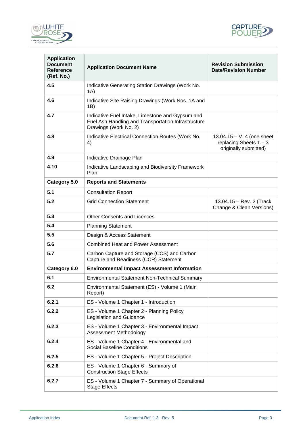



| <b>Application</b><br><b>Document</b><br><b>Reference</b><br>(Ref. No.) | <b>Application Document Name</b>                                                                                                 | <b>Revision Submission</b><br><b>Date/Revision Number</b>                        |
|-------------------------------------------------------------------------|----------------------------------------------------------------------------------------------------------------------------------|----------------------------------------------------------------------------------|
| 4.5                                                                     | Indicative Generating Station Drawings (Work No.<br>1A)                                                                          |                                                                                  |
| 4.6                                                                     | Indicative Site Raising Drawings (Work Nos. 1A and<br>1B)                                                                        |                                                                                  |
| 4.7                                                                     | Indicative Fuel Intake, Limestone and Gypsum and<br>Fuel Ash Handling and Transportation Infrastructure<br>Drawings (Work No. 2) |                                                                                  |
| 4.8                                                                     | Indicative Electrical Connection Routes (Work No.<br>4)                                                                          | $13.04.15 - V.4$ (one sheet<br>replacing Sheets $1 - 3$<br>originally submitted) |
| 4.9                                                                     | Indicative Drainage Plan                                                                                                         |                                                                                  |
| 4.10                                                                    | Indicative Landscaping and Biodiversity Framework<br>Plan                                                                        |                                                                                  |
| Category 5.0                                                            | <b>Reports and Statements</b>                                                                                                    |                                                                                  |
| 5.1                                                                     | <b>Consultation Report</b>                                                                                                       |                                                                                  |
| 5.2                                                                     | <b>Grid Connection Statement</b>                                                                                                 | 13.04.15 - Rev. 2 (Track<br>Change & Clean Versions)                             |
| 5.3                                                                     | <b>Other Consents and Licences</b>                                                                                               |                                                                                  |
| 5.4                                                                     | <b>Planning Statement</b>                                                                                                        |                                                                                  |
| 5.5                                                                     | Design & Access Statement                                                                                                        |                                                                                  |
| 5.6                                                                     | <b>Combined Heat and Power Assessment</b>                                                                                        |                                                                                  |
| 5.7                                                                     | Carbon Capture and Storage (CCS) and Carbon<br>Capture and Readiness (CCR) Statement                                             |                                                                                  |
| Category 6.0                                                            | <b>Environmental Impact Assessment Information</b>                                                                               |                                                                                  |
| 6.1                                                                     | <b>Environmental Statement Non-Technical Summary</b>                                                                             |                                                                                  |
| 6.2                                                                     | Environmental Statement (ES) - Volume 1 (Main<br>Report)                                                                         |                                                                                  |
| 6.2.1                                                                   | ES - Volume 1 Chapter 1 - Introduction                                                                                           |                                                                                  |
| 6.2.2                                                                   | ES - Volume 1 Chapter 2 - Planning Policy<br><b>Legislation and Guidance</b>                                                     |                                                                                  |
| 6.2.3                                                                   | ES - Volume 1 Chapter 3 - Environmental Impact<br>Assessment Methodology                                                         |                                                                                  |
| 6.2.4                                                                   | ES - Volume 1 Chapter 4 - Environmental and<br><b>Social Baseline Conditions</b>                                                 |                                                                                  |
| 6.2.5                                                                   | ES - Volume 1 Chapter 5 - Project Description                                                                                    |                                                                                  |
| 6.2.6                                                                   | ES - Volume 1 Chapter 6 - Summary of<br><b>Construction Stage Effects</b>                                                        |                                                                                  |
| 6.2.7                                                                   | ES - Volume 1 Chapter 7 - Summary of Operational<br><b>Stage Effects</b>                                                         |                                                                                  |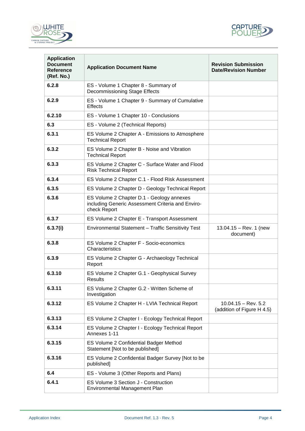



| <b>Application</b><br><b>Document</b><br>Reference<br>(Ref. No.) | <b>Application Document Name</b>                                                                               | <b>Revision Submission</b><br><b>Date/Revision Number</b> |
|------------------------------------------------------------------|----------------------------------------------------------------------------------------------------------------|-----------------------------------------------------------|
| 6.2.8                                                            | ES - Volume 1 Chapter 8 - Summary of<br>Decommissioning Stage Effects                                          |                                                           |
| 6.2.9                                                            | ES - Volume 1 Chapter 9 - Summary of Cumulative<br>Effects                                                     |                                                           |
| 6.2.10                                                           | ES - Volume 1 Chapter 10 - Conclusions                                                                         |                                                           |
| 6.3                                                              | ES - Volume 2 (Technical Reports)                                                                              |                                                           |
| 6.3.1                                                            | ES Volume 2 Chapter A - Emissions to Atmosphere<br><b>Technical Report</b>                                     |                                                           |
| 6.3.2                                                            | ES Volume 2 Chapter B - Noise and Vibration<br><b>Technical Report</b>                                         |                                                           |
| 6.3.3                                                            | ES Volume 2 Chapter C - Surface Water and Flood<br><b>Risk Technical Report</b>                                |                                                           |
| 6.3.4                                                            | ES Volume 2 Chapter C.1 - Flood Risk Assessment                                                                |                                                           |
| 6.3.5                                                            | ES Volume 2 Chapter D - Geology Technical Report                                                               |                                                           |
| 6.3.6                                                            | ES Volume 2 Chapter D.1 - Geology annexes<br>including Generic Assessment Criteria and Enviro-<br>check Report |                                                           |
| 6.3.7                                                            | ES Volume 2 Chapter E - Transport Assessment                                                                   |                                                           |
| 6.3.7(i)                                                         | Environmental Statement - Traffic Sensitivity Test                                                             | 13.04.15 - Rev. 1 (new<br>document)                       |
| 6.3.8                                                            | ES Volume 2 Chapter F - Socio-economics<br>Characteristics                                                     |                                                           |
| 6.3.9                                                            | ES Volume 2 Chapter G - Archaeology Technical<br>Report                                                        |                                                           |
| 6.3.10                                                           | ES Volume 2 Chapter G.1 - Geophysical Survey<br><b>Results</b>                                                 |                                                           |
| 6.3.11                                                           | ES Volume 2 Chapter G.2 - Written Scheme of<br>Investigation                                                   |                                                           |
| 6.3.12                                                           | ES Volume 2 Chapter H - LVIA Technical Report                                                                  | $10.04.15 - Rev. 5.2$<br>(addition of Figure H 4.5)       |
| 6.3.13                                                           | ES Volume 2 Chapter I - Ecology Technical Report                                                               |                                                           |
| 6.3.14                                                           | ES Volume 2 Chapter I - Ecology Technical Report<br>Annexes 1-11                                               |                                                           |
| 6.3.15                                                           | ES Volume 2 Confidential Badger Method<br>Statement [Not to be published]                                      |                                                           |
| 6.3.16                                                           | ES Volume 2 Confidential Badger Survey [Not to be<br>published]                                                |                                                           |
| 6.4                                                              | ES - Volume 3 (Other Reports and Plans)                                                                        |                                                           |
| 6.4.1                                                            | ES Volume 3 Section J - Construction<br>Environmental Management Plan                                          |                                                           |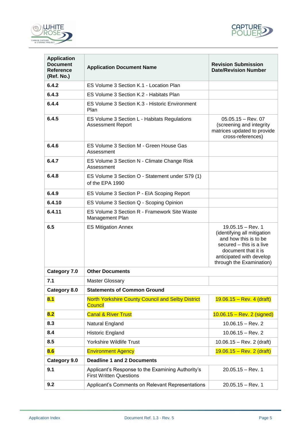



| <b>Application</b><br><b>Document</b><br><b>Reference</b><br>(Ref. No.) | <b>Application Document Name</b>                                                    | <b>Revision Submission</b><br><b>Date/Revision Number</b>                                                                                                                              |
|-------------------------------------------------------------------------|-------------------------------------------------------------------------------------|----------------------------------------------------------------------------------------------------------------------------------------------------------------------------------------|
| 6.4.2                                                                   | ES Volume 3 Section K.1 - Location Plan                                             |                                                                                                                                                                                        |
| 6.4.3                                                                   | ES Volume 3 Section K.2 - Habitats Plan                                             |                                                                                                                                                                                        |
| 6.4.4                                                                   | ES Volume 3 Section K.3 - Historic Environment<br>Plan                              |                                                                                                                                                                                        |
| 6.4.5                                                                   | ES Volume 3 Section L - Habitats Regulations<br><b>Assessment Report</b>            | $05.05.15 - Rev. 07$<br>(screening and integrity<br>matrices updated to provide<br>cross-references)                                                                                   |
| 6.4.6                                                                   | ES Volume 3 Section M - Green House Gas<br>Assessment                               |                                                                                                                                                                                        |
| 6.4.7                                                                   | ES Volume 3 Section N - Climate Change Risk<br>Assessment                           |                                                                                                                                                                                        |
| 6.4.8                                                                   | ES Volume 3 Section O - Statement under S79 (1)<br>of the EPA 1990                  |                                                                                                                                                                                        |
| 6.4.9                                                                   | ES Volume 3 Section P - EIA Scoping Report                                          |                                                                                                                                                                                        |
| 6.4.10                                                                  | ES Volume 3 Section Q - Scoping Opinion                                             |                                                                                                                                                                                        |
| 6.4.11                                                                  | ES Volume 3 Section R - Framework Site Waste<br>Management Plan                     |                                                                                                                                                                                        |
| 6.5                                                                     | <b>ES Mitigation Annex</b>                                                          | $19.05.15 - Rev. 1$<br>(identifying all mitigation<br>and how this is to be<br>secured – this is a live<br>document that it is<br>anticipated with develop<br>through the Examination) |
| Category 7.0                                                            | <b>Other Documents</b>                                                              |                                                                                                                                                                                        |
| 7.1                                                                     | <b>Master Glossary</b>                                                              |                                                                                                                                                                                        |
| Category 8.0                                                            | <b>Statements of Common Ground</b>                                                  |                                                                                                                                                                                        |
| 8.1                                                                     | <b>North Yorkshire County Council and Selby District</b><br><b>Council</b>          | $19.06.15 - Rev. 4 (draff)$                                                                                                                                                            |
| 8.2                                                                     | <b>Canal &amp; River Trust</b>                                                      | $10.06.15 - Rev. 2 (signed)$                                                                                                                                                           |
| 8.3                                                                     | Natural England                                                                     | $10.06.15 - Rev. 2$                                                                                                                                                                    |
| 8.4                                                                     | Historic England                                                                    | $10.06.15 - Rev. 2$                                                                                                                                                                    |
| 8.5                                                                     | Yorkshire Wildlife Trust                                                            | $10.06.15 - Rev. 2 (draff)$                                                                                                                                                            |
| 8.6                                                                     | <b>Environment Agency</b>                                                           | $19.06.15 - Rev. 2 (draff)$                                                                                                                                                            |
| Category 9.0                                                            | <b>Deadline 1 and 2 Documents</b>                                                   |                                                                                                                                                                                        |
| 9.1                                                                     | Applicant's Response to the Examining Authority's<br><b>First Written Questions</b> | $20.05.15 - Rev. 1$                                                                                                                                                                    |
| 9.2                                                                     | Applicant's Comments on Relevant Representations                                    | $20.05.15 - Rev. 1$                                                                                                                                                                    |